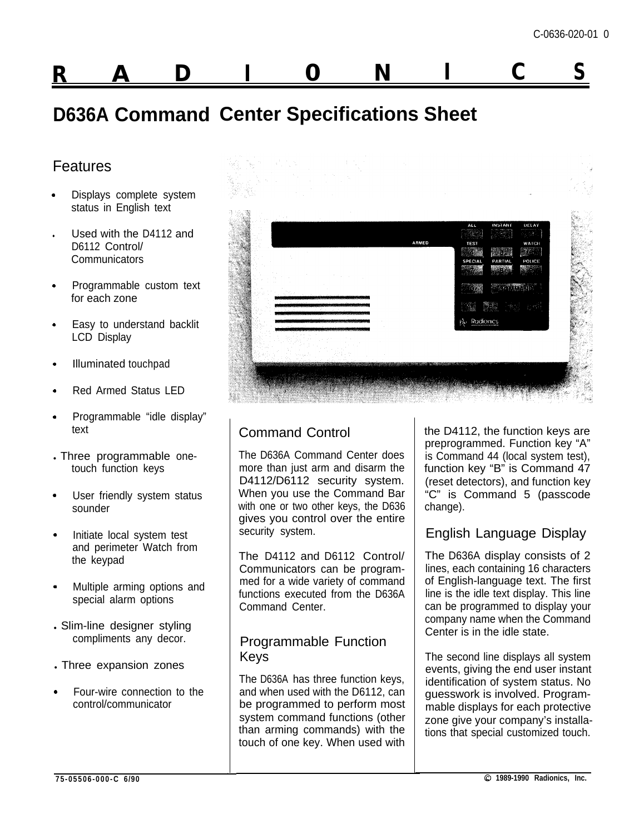# **R A D I 0 N I C <sup>S</sup>**

# **D636A Command Center Specifications Sheet**

# **Features**

- . Displays complete system status in English text
- Used with the D4112 and D6112 Control/ **Communicators**
- . Programmable custom text for each zone
- . Easy to understand backlit LCD Display
- . Illuminated touchpad
- . Red Armed Status LED
- . Programmable "idle display" text
- . Three programmable onetouch function keys
- . User friendly system status sounder
- . Initiate local system test and perimeter Watch from the keypad
- . Multiple arming options and special alarm options
- . Slim-line designer styling compliments any decor.
- . Three expansion zones
- Four-wire connection to the control/communicator



# Command Control

The D636A Command Center does more than just arm and disarm the D4112/D6112 security system. When you use the Command Bar with one or two other keys, the D636 gives you control over the entire security system.

The D4112 and D6112 Control/ Communicators can be programmed for a wide variety of command functions executed from the D636A Command Center.

## Programmable Function Keys

The D636A has three function keys, and when used with the D6112, can be programmed to perform most system command functions (other than arming commands) with the touch of one key. When used with

 $\perp$ 

the D4112, the function keys are preprogrammed. Function key "A" is Command 44 (local system test), function key "B" is Command 47 (reset detectors), and function key "C" is Command 5 (passcode change).

# English Language Display

The D636A display consists of 2 lines, each containing 16 characters of English-language text. The first line is the idle text display. This line can be programmed to display your company name when the Command Center is in the idle state.

The second line displays all system events, giving the end user instant identification of system status. No guesswork is involved. Programmable displays for each protective zone give your company's installations that special customized touch.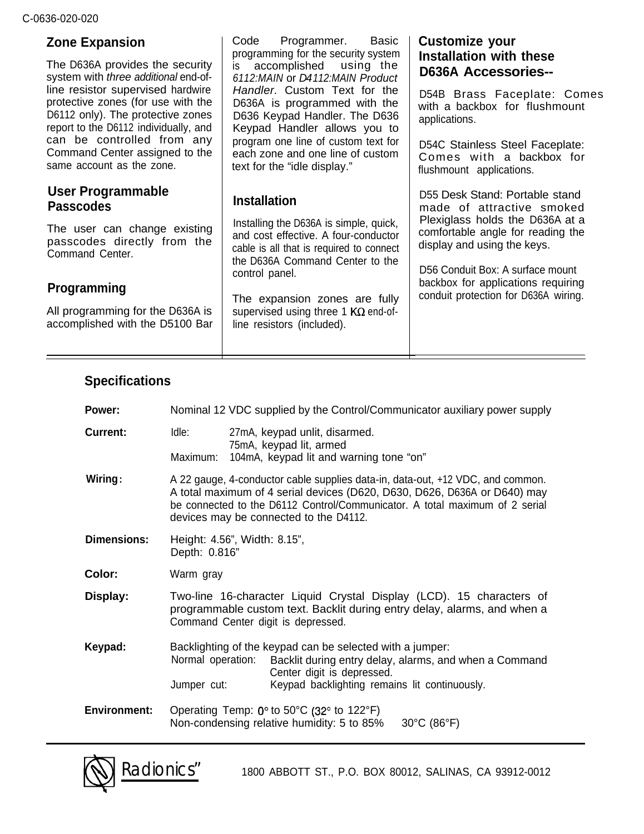| <b>Zone Expansion</b><br>The D636A provides the security                                                                                                                                      | Basic<br>Code<br>Programmer.<br>programming for the security system<br>accomplished using the<br>is.                                                               | <b>Customize your</b><br><b>Installation with these</b><br><b>D636A Accessories--</b><br>D54B Brass Faceplate: Comes<br>with a backbox for flushmount<br>applications. |  |
|-----------------------------------------------------------------------------------------------------------------------------------------------------------------------------------------------|--------------------------------------------------------------------------------------------------------------------------------------------------------------------|------------------------------------------------------------------------------------------------------------------------------------------------------------------------|--|
| system with three additional end-of-<br>line resistor supervised hardwire<br>protective zones (for use with the<br>D6112 only). The protective zones<br>report to the D6112 individually, and | 6112: MAIN or D4112: MAIN Product<br>Handler. Custom Text for the<br>D636A is programmed with the<br>D636 Keypad Handler. The D636<br>Keypad Handler allows you to |                                                                                                                                                                        |  |
| can be controlled from any<br>Command Center assigned to the<br>same account as the zone.                                                                                                     | program one line of custom text for<br>each zone and one line of custom<br>text for the "idle display."                                                            | D54C Stainless Steel Faceplate:<br>Comes with a backbox for<br>flushmount applications.                                                                                |  |
| User Programmable<br><b>Passcodes</b>                                                                                                                                                         | <b>Installation</b>                                                                                                                                                | D55 Desk Stand: Portable stand<br>made of attractive smoked<br>Plexiglass holds the D636A at a<br>comfortable angle for reading the<br>display and using the keys.     |  |
| The user can change existing<br>passcodes directly from the<br>Command Center.                                                                                                                | Installing the D636A is simple, quick,<br>and cost effective. A four-conductor<br>cable is all that is required to connect<br>the D636A Command Center to the      |                                                                                                                                                                        |  |
| <b>Programming</b>                                                                                                                                                                            | control panel.                                                                                                                                                     | D56 Conduit Box: A surface mount<br>backbox for applications requiring<br>conduit protection for D636A wiring.                                                         |  |
| All programming for the D636A is<br>accomplished with the D5100 Bar                                                                                                                           | The expansion zones are fully<br>supervised using three 1 $K\Omega$ end-of-<br>line resistors (included).                                                          |                                                                                                                                                                        |  |
|                                                                                                                                                                                               |                                                                                                                                                                    |                                                                                                                                                                        |  |

# **Specifications**

| Power:              | Nominal 12 VDC supplied by the Control/Communicator auxiliary power supply                                                                                                                                                                                                           |                                                                                                                                                                                                    |  |  |
|---------------------|--------------------------------------------------------------------------------------------------------------------------------------------------------------------------------------------------------------------------------------------------------------------------------------|----------------------------------------------------------------------------------------------------------------------------------------------------------------------------------------------------|--|--|
| <b>Current:</b>     | Idle:<br>Maximum:                                                                                                                                                                                                                                                                    | 27mA, keypad unlit, disarmed.<br>75mA, keypad lit, armed<br>104mA, keypad lit and warning tone "on"                                                                                                |  |  |
| Wiring:             | A 22 gauge, 4-conductor cable supplies data-in, data-out, +12 VDC, and common.<br>A total maximum of 4 serial devices (D620, D630, D626, D636A or D640) may<br>be connected to the D6112 Control/Communicator. A total maximum of 2 serial<br>devices may be connected to the D4112. |                                                                                                                                                                                                    |  |  |
| <b>Dimensions:</b>  | Height: 4.56", Width: 8.15",<br>Depth: 0.816"                                                                                                                                                                                                                                        |                                                                                                                                                                                                    |  |  |
| Color:              | Warm gray                                                                                                                                                                                                                                                                            |                                                                                                                                                                                                    |  |  |
| Display:            | Two-line 16-character Liquid Crystal Display (LCD). 15 characters of<br>programmable custom text. Backlit during entry delay, alarms, and when a<br>Command Center digit is depressed.                                                                                               |                                                                                                                                                                                                    |  |  |
| Keypad:             | Normal operation:<br>Jumper cut:                                                                                                                                                                                                                                                     | Backlighting of the keypad can be selected with a jumper:<br>Backlit during entry delay, alarms, and when a Command<br>Center digit is depressed.<br>Keypad backlighting remains lit continuously. |  |  |
| <b>Environment:</b> |                                                                                                                                                                                                                                                                                      | Operating Temp: $0^\circ$ to 50°C (32° to 122°F)<br>Non-condensing relative humidity: 5 to 85%<br>$30^{\circ}$ C (86 $^{\circ}$ F)                                                                 |  |  |

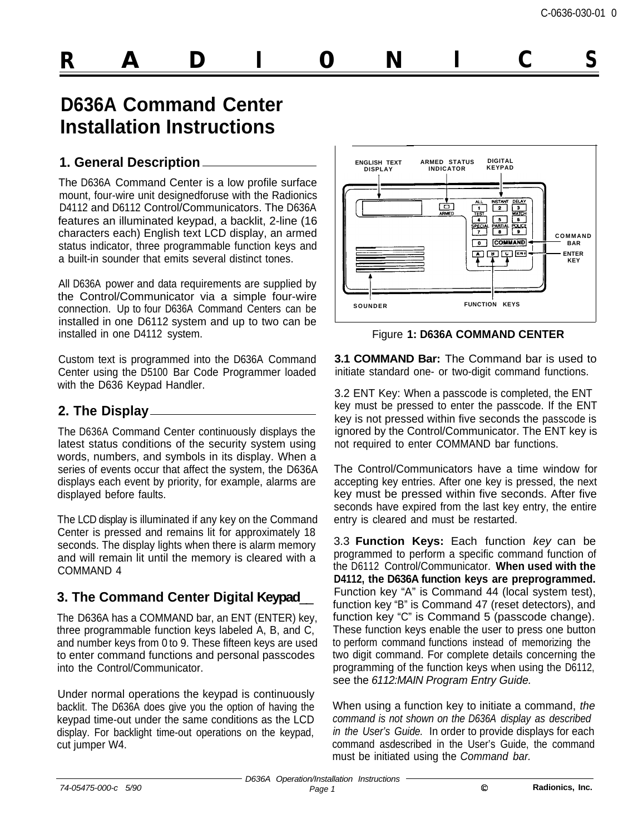# **R A D I 0 N I C S**

# **D636A Command Center Installation Instructions**

#### **1. General Description**

The D636A Command Center is a low profile surface mount, four-wire unit designedforuse with the Radionics D4112 and D6112 Control/Communicators. The D636A features an illuminated keypad, a backlit, 2-line (16 characters each) English text LCD display, an armed status indicator, three programmable function keys and a built-in sounder that emits several distinct tones.

All D636A power and data requirements are supplied by the Control/Communicator via a simple four-wire connection. Up to four D636A Command Centers can be installed in one D6112 system and up to two can be installed in one D4112 system.

Custom text is programmed into the D636A Command Center using the D5100 Bar Code Programmer loaded with the D636 Keypad Handler.

#### **2. The Display**

The D636A Command Center continuously displays the latest status conditions of the security system using words, numbers, and symbols in its display. When a series of events occur that affect the system, the D636A displays each event by priority, for example, alarms are displayed before faults.

The LCD display is illuminated if any key on the Command Center is pressed and remains lit for approximately 18 seconds. The display lights when there is alarm memory and will remain lit until the memory is cleared with a COMMAND 4

# **3. The Command Center Digital Keypad**\_\_

The D636A has a COMMAND bar, an ENT (ENTER) key, three programmable function keys labeled A, B, and C, and number keys from 0 to 9. These fifteen keys are used to enter command functions and personal passcodes into the Control/Communicator.

Under normal operations the keypad is continuously backlit. The D636A does give you the option of having the keypad time-out under the same conditions as the LCD display. For backlight time-out operations on the keypad, cut jumper W4.



Figure **1: D636A COMMAND CENTER**

**3.1 COMMAND Bar:** The Command bar is used to initiate standard one- or two-digit command functions.

3.2 ENT Key: When a passcode is completed, the ENT key must be pressed to enter the passcode. If the ENT key is not pressed within five seconds the passcode is ignored by the Control/Communicator. The ENT key is not required to enter COMMAND bar functions.

The Control/Communicators have a time window for accepting key entries. After one key is pressed, the next key must be pressed within five seconds. After five seconds have expired from the last key entry, the entire entry is cleared and must be restarted.

3.3 **Function Keys:** Each function *key* can be programmed to perform a specific command function of the D6112 Control/Communicator. **When used with the D4112, the D636A function keys are preprogrammed.** Function key "A" is Command 44 (local system test), function key "B" is Command 47 (reset detectors), and function key "C" is Command 5 (passcode change). These function keys enable the user to press one button to perform command functions instead of memorizing the two digit command. For complete details concerning the programming of the function keys when using the D6112, see the *6112:MAIN Program Entry Guide.*

When using a function key to initiate a command, *the command is not shown on the D636A display as described in the User's Guide.* In order to provide displays for each command asdescribed in the User's Guide, the command must be initiated using the *Command bar.*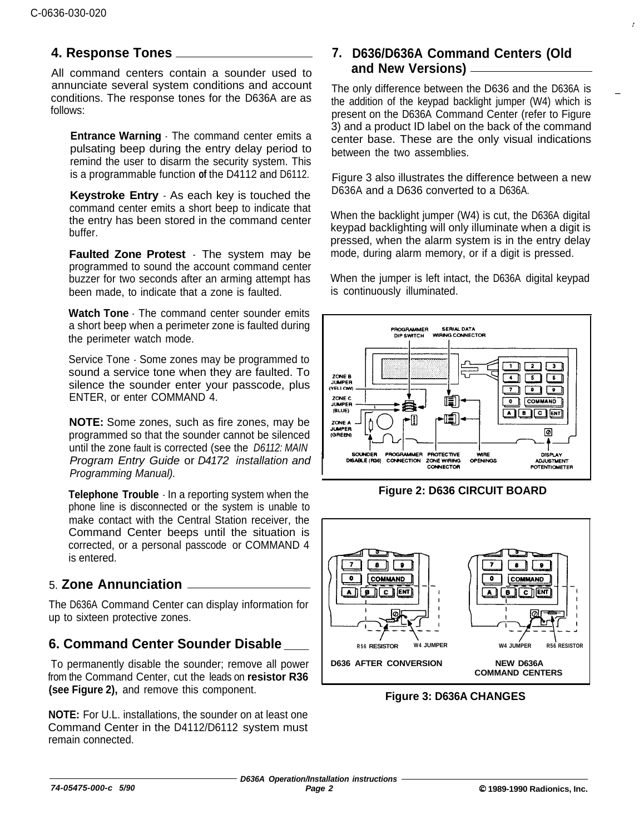#### **4. Response Tones 7.**

All command centers contain a sounder used to annunciate several system conditions and account conditions. The response tones for the D636A are as follows:

**Entrance Warning** - The command center emits a pulsating beep during the entry delay period to remind the user to disarm the security system. This is a programmable function **of** the D4112 and D6112.

**Keystroke Entry** - As each key is touched the command center emits a short beep to indicate that the entry has been stored in the command center buffer.

**Faulted Zone Protest** - The system may be programmed to sound the account command center buzzer for two seconds after an arming attempt has been made, to indicate that a zone is faulted.

**Watch Tone** - The command center sounder emits a short beep when a perimeter zone is faulted during the perimeter watch mode.

Service Tone - Some zones may be programmed to sound a service tone when they are faulted. To silence the sounder enter your passcode, plus ENTER, or enter COMMAND 4.

**NOTE:** Some zones, such as fire zones, may be programmed so that the sounder cannot be silenced until the zone fault is corrected (see the *D6112: MAIN Program Entry Guide* or *D4172 installation and Programming Manual).*

**Telephone Trouble** - In a reporting system when the phone line is disconnected or the system is unable to make contact with the Central Station receiver, the Command Center beeps until the situation is corrected, or a personal passcode or COMMAND 4 is entered.

### 5. **Zone Annunciation**

The D636A Command Center can display information for up to sixteen protective zones.

### **6. Command Center Sounder Disable \_**

To permanently disable the sounder; remove all power from the Command Center, cut the leads on **resistor R36 (see Figure 2),** and remove this component.

**NOTE:** For U.L. installations, the sounder on at least one Command Center in the D4112/D6112 system must remain connected.

#### **D636/D636A Command Centers (Old and New Versions)**

The only difference between the D636 and the D636A is the addition of the keypad backlight jumper (W4) which is present on the D636A Command Center (refer to Figure 3) and a product ID label on the back of the command center base. These are the only visual indications between the two assemblies.

\_

Figure 3 also illustrates the difference between a new D636A and a D636 converted to a D636A.

When the backlight jumper (W4) is cut, the D636A digital keypad backlighting will only illuminate when a digit is pressed, when the alarm system is in the entry delay mode, during alarm memory, or if a digit is pressed.

When the jumper is left intact, the D636A digital keypad is continuously illuminated.



**Figure 2: D636 CIRCUIT BOARD**



**Figure 3: D636A CHANGES**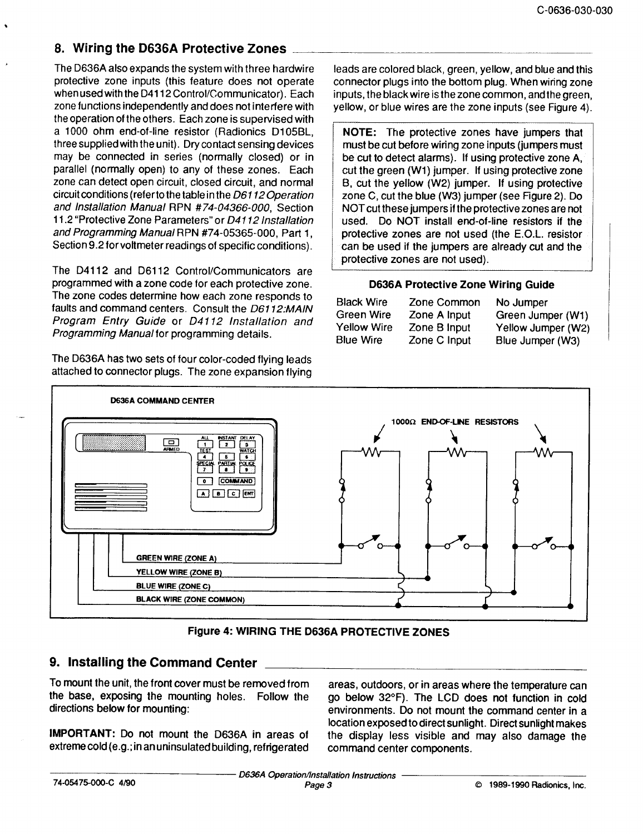## 8. Wiring the D636A Protective Zones

The D636A also expands the system with three hardwire protective zone inputs (this feature does not operate when used with the D4112 Control/Communicator). Each zone functions independently and does not interfere with the operation of the others. Each zone is supervised with a 1000 ohm end-of-line resistor (Radionics D105BL, three supplied with the unit). Dry contact sensing devices may be connected in series (normally closed) or in parallel (normally open) to any of these zones. Each zone can detect open circuit, closed circuit, and normal circuit conditions (refer to the table in the D6112 Operation and Installation Manual RPN #74-04366-000, Section 11.2 "Protective Zone Parameters" or D4112 Installation and Programming Manual RPN #74-05365-000, Part 1, Section 9.2 for voltmeter readings of specific conditions).

The D4112 and D6112 Control/Communicators are programmed with a zone code for each protective zone. The zone codes determine how each zone responds to faults and command centers. Consult the D6112:MAIN Program Entry Guide or D4112 Installation and Programming Manual for programming details.

The D636A has two sets of four color-coded flying leads attached to connector plugs. The zone expansion flying leads are colored black, green, yellow, and blue and this connector plugs into the bottom plug. When wiring zone inputs, the black wire is the zone common, and the green. yellow, or blue wires are the zone inputs (see Figure 4).

NOTE: The protective zones have jumpers that must be cut before wiring zone inputs (jumpers must be cut to detect alarms). If using protective zone A, cut the green (W1) jumper. If using protective zone B, cut the yellow (W2) jumper. If using protective zone C, cut the blue (W3) jumper (see Figure 2). Do NOT cut these jumpers if the protective zones are not used. Do NOT install end-of-line resistors if the protective zones are not used (the E.O.L. resistor can be used if the jumpers are already cut and the protective zones are not used).

#### D636A Protective Zone Wiring Guide

| <b>Black Wire</b>  | Zone Common  | No Jumper          |
|--------------------|--------------|--------------------|
| Green Wire         | Zone A Input | Green Jumper (W1)  |
| <b>Yellow Wire</b> | Zone B Input | Yellow Jumper (W2) |
| <b>Blue Wire</b>   | Zone C Input | Blue Jumper (W3)   |



Figure 4: WIRING THE D636A PROTECTIVE ZONES

#### 9. Installing the Command Center

To mount the unit, the front cover must be removed from the base, exposing the mounting holes. Follow the directions below for mounting:

IMPORTANT: Do not mount the D636A in areas of extreme cold (e.g.; in an uninsulated building, refrigerated

areas, outdoors, or in areas where the temperature can go below 32°F). The LCD does not function in cold environments. Do not mount the command center in a location exposed to direct sunlight. Direct sunlight makes the display less visible and may also damage the command center components.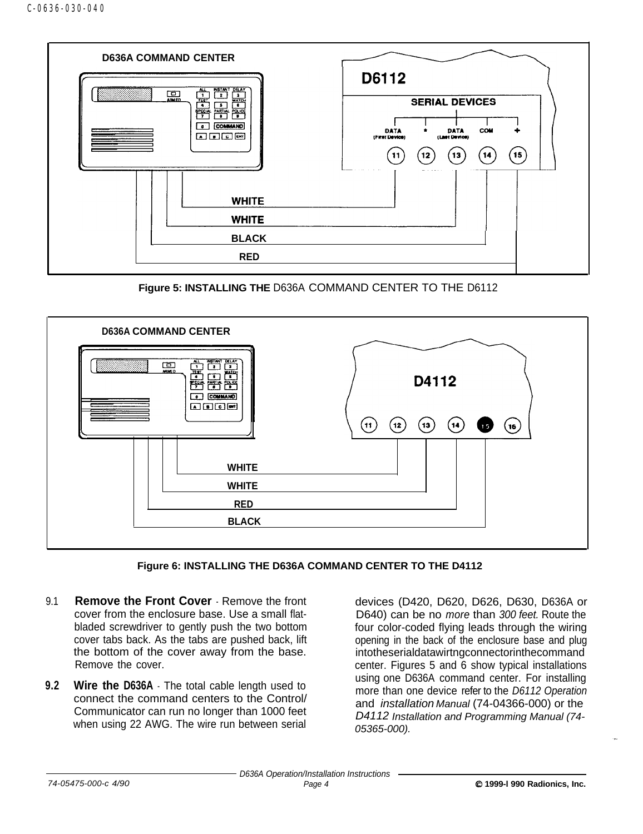

**Figure 5: INSTALLING THE** D636A COMMAND CENTER TO THE D6112





- 9.1 **Remove the Front Cover**  Remove the front cover from the enclosure base. Use a small flatbladed screwdriver to gently push the two bottom cover tabs back. As the tabs are pushed back, lift the bottom of the cover away from the base. Remove the cover.
- **9.2 Wire the D636A** The total cable length used to connect the command centers to the Control/ Communicator can run no longer than 1000 feet when using 22 AWG. The wire run between serial

devices (D420, D620, D626, D630, D636A or D640) can be no *more* than *300 feet.* Route the four color-coded flying leads through the wiring opening in the back of the enclosure base and plug intotheserialdatawirtngconnectorinthecommand center. Figures 5 and 6 show typical installations using one D636A command center. For installing more than one device refer to the *D6112 Operation* and *installation Manual* (74-04366-000) or the *D4112 Installation and Programming Manual (74- 05365-000).*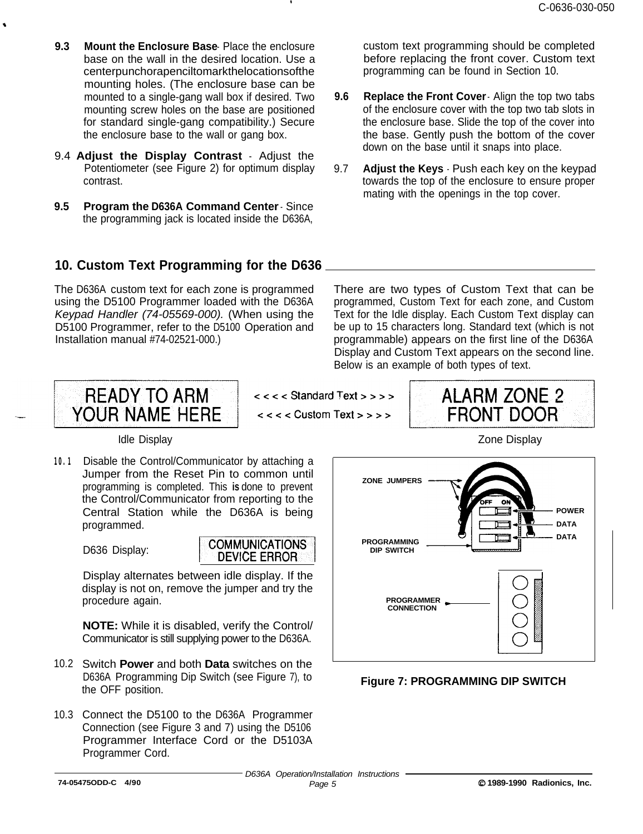- **9.3** Mount the Enclosure Base Place the enclosure base on the wall in the desired location. Use a centerpunchorapenciltomarkthelocationsofthe mounting holes. (The enclosure base can be mounted to a single-gang wall box if desired. Two mounting screw holes on the base are positioned for standard single-gang compatibility.) Secure the enclosure base to the wall or gang box.
- 9.4 **Adjust the Display Contrast** Adjust the Potentiometer (see Figure 2) for optimum display contrast.
- **9.5 Program the D636A Command Center**  Since the programming jack is located inside the D636A,

custom text programming should be completed before replacing the front cover. Custom text programming can be found in Section 10.

- **9.6 Replace the Front Cover** Align the top two tabs of the enclosure cover with the top two tab slots in the enclosure base. Slide the top of the cover into the base. Gently push the bottom of the cover down on the base until it snaps into place.
- 9.7 **Adjust the Keys**  Push each key on the keypad towards the top of the enclosure to ensure proper mating with the openings in the top cover.

### **10. Custom Text Programming for the D636**

The D636A custom text for each zone is programmed There are two types of Custom Text that can be

using the D5100 Programmer loaded with the D636A programmed, Custom Text for each zone, and Custom *Keypad Handler (74-05569-000).* (When using the Text for the Idle display. Each Custom Text display can D5100 Programmer, refer to the D5100 Operation and be up to 15 characters long. Standard text (which is not Installation manual #74-02521-000.) programmable) appears on the first line of the D636A Display and Custom Text appears on the second line. Below is an example of both types of text.



 $<<$  < Standard Text > > > >

 $<<$  <  $<<$  Custom Text > > > >

**ALARM ZONE 2 FRONT DOOR** 

Idle Display Zone Display

**10.1** Disable the Control/Communicator by attaching a Jumper from the Reset Pin to common until programming is completed. This **is** done to prevent the Control/Communicator from reporting to the Central Station while the D636A is being programmed.

D636 Display:



Display alternates between idle display. If the display is not on, remove the jumper and try the procedure again.

**NOTE:** While it is disabled, verify the Control/ Communicator is still supplying power to the D636A.

- 10.2 Switch **Power** and both **Data** switches on the D636A Programming Dip Switch (see Figure 7), to the OFF position.
- 10.3 Connect the D5100 to the D636A Programmer Connection (see Figure 3 and 7) using the D5106 Programmer Interface Cord or the D5103A Programmer Cord.



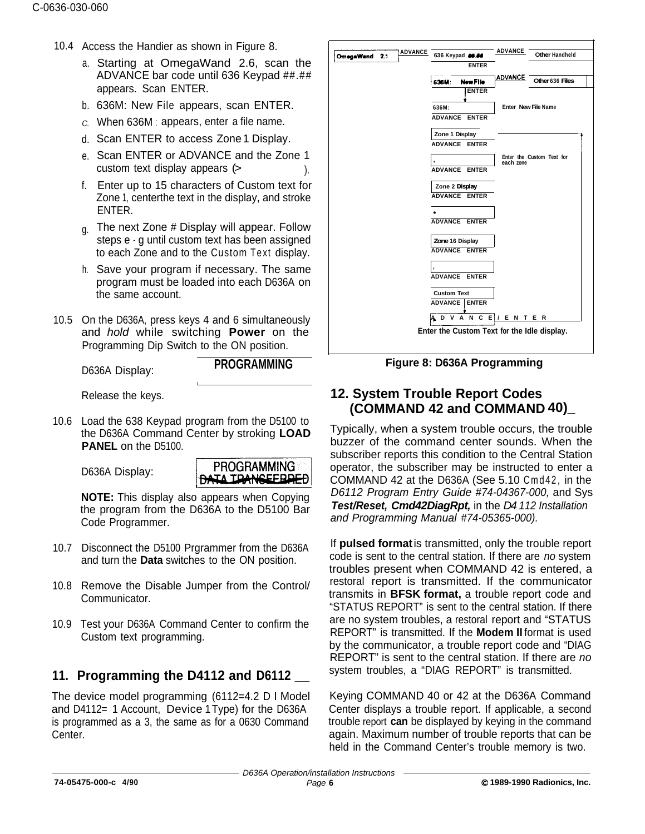- 10.4 Access the Handier as shown in Figure 8.
	- a. Starting at OmegaWand 2.6, scan the ADVANCE bar code until 636 Keypad ##.## appears. Scan ENTER.
	- b. 636M: New File appears, scan ENTER.
	- *C.* When 636M : appears, enter a file name.
	- d. Scan ENTER to access Zone 1 Display.
	- e. Scan ENTER or ADVANCE and the Zone 1  $\frac{1}{2}$  custom text display appears  $(>$
	- f. Enter up to 15 characters of Custom text for Zone 1, centerthe text in the display, and stroke ENTER.
	- <sub>g.</sub> The next Zone # Display will appear. Follow steps e - g until custom text has been assigned to each Zone and to the Custom Text display.
	- h. Save your program if necessary. The same program must be loaded into each D636A on the same account.

I

10.5 On the D636A, press keys 4 and 6 simultaneously and *hold* while switching **Power** on the Programming Dip Switch to the ON position.

D636A Display: **PROGRAMMING**

Release the keys.

10.6 Load the 638 Keypad program from the D5100 to the D636A Command Center by stroking **LOAD PANEL** on the D5100.

D636A Display:



**NOTE:** This display also appears when Copying the program from the D636A to the D5100 Bar Code Programmer.

L

- 10.7 Disconnect the D5100 Prgrammer from the D636A and turn the **Data** switches to the ON position.
- 10.8 Remove the Disable Jumper from the Control/ Communicator.
- 10.9 Test your D636A Command Center to confirm the Custom text programming.

# **11. Programming the D4112 and D6112 \_**

The device model programming (6112=4.2 D I Model and D4112= 1 Account, Device 1Type) for the D636A is programmed as a 3, the same as for a 0630 Command Center.



**Figure 8: D636A Programming**

## **12. System Trouble Report Codes (COMMAND 42 and COMMAND 40)\_**

Typically, when a system trouble occurs, the trouble buzzer of the command center sounds. When the subscriber reports this condition to the Central Station operator, the subscriber may be instructed to enter a COMMAND 42 at the D636A (See 5.10 Cmd42, in the *D6112 Program Entry Guide #74-04367-000,* and Sys *Test/Reset, Cmd42DiagRpt,* in the *D4 112 Installation and Programming Manual #74-05365-000).*

If **pulsed format** is transmitted, only the trouble report code is sent to the central station. If there are *no* system troubles present when COMMAND 42 is entered, a restoral report is transmitted. If the communicator transmits in **BFSK format,** a trouble report code and "STATUS REPORT" is sent to the central station. If there are no system troubles, a restoral report and "STATUS REPORT" is transmitted. If the **Modem II** format is used by the communicator, a trouble report code and "DIAG REPORT" is sent to the central station. If there are *no* system troubles, a "DIAG REPORT" is transmitted.

Keying COMMAND 40 or 42 at the D636A Command Center displays a trouble report. If applicable, a second trouble report **can** be displayed by keying in the command again. Maximum number of trouble reports that can be held in the Command Center's trouble memory is two.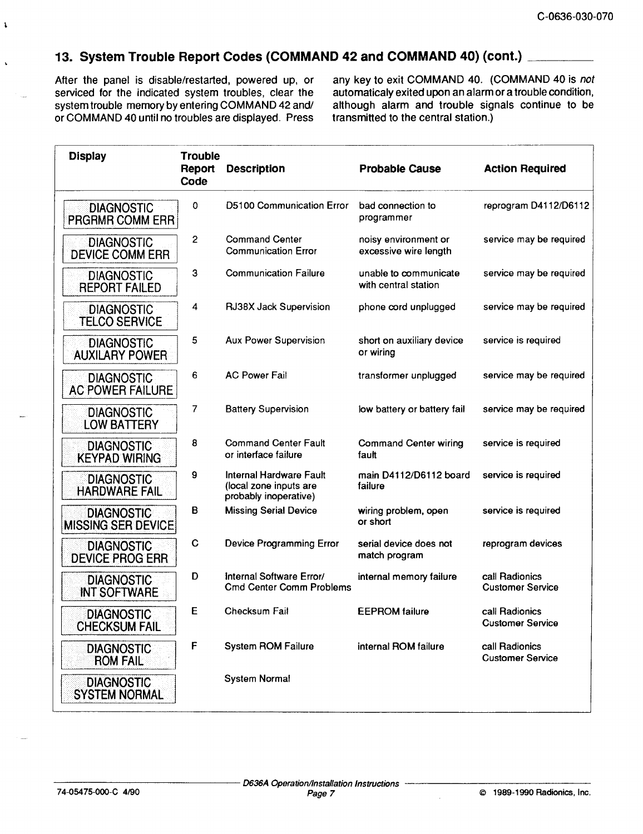#### 13. System Trouble Report Codes (COMMAND 42 and COMMAND 40) (cont.) \_\_\_\_\_\_\_\_\_

After the panel is disable/restarted, powered up, or serviced for the indicated system troubles, clear the system trouble memory by entering COMMAND 42 and/ or COMMAND 40 until no troubles are displayed. Press any key to exit COMMAND 40. (COMMAND 40 is not automaticaly exited upon an alarm or a trouble condition, although alarm and trouble signals continue to be transmitted to the central station.)

| <b>Display</b>                                 | <b>Trouble</b><br>Report<br>Code | <b>Description</b>                                                         | <b>Probable Cause</b>                         | <b>Action Required</b>                    |
|------------------------------------------------|----------------------------------|----------------------------------------------------------------------------|-----------------------------------------------|-------------------------------------------|
| <b>DIAGNOSTIC</b><br><b>PRGRMR COMM ERR</b>    | 0                                | <b>D5100 Communication Error</b>                                           | bad connection to<br>programmer               | reprogram D4112/D6112                     |
| <b>DIAGNOSTIC</b><br><b>DEVICE COMM ERR</b>    | $\overline{2}$                   | <b>Command Center</b><br><b>Communication Error</b>                        | noisy environment or<br>excessive wire length | service may be required                   |
| <b>DIAGNOSTIC</b><br><b>REPORT FAILED</b>      | 3                                | <b>Communication Failure</b>                                               | unable to communicate<br>with central station | service may be required                   |
| <b>DIAGNOSTIC</b><br><b>TELCO SERVICE</b>      | 4                                | RJ38X Jack Supervision                                                     | phone cord unplugged                          | service may be required                   |
| <b>DIAGNOSTIC</b><br><b>AUXILARY POWER</b>     | 5                                | <b>Aux Power Supervision</b>                                               | short on auxiliary device<br>or wiring        | service is required                       |
| <b>DIAGNOSTIC</b><br><b>AC POWER FAILURE</b>   | 6                                | <b>AC Power Fail</b>                                                       | transformer unplugged                         | service may be required                   |
| <b>DIAGNOSTIC</b><br><b>LOW BATTERY</b>        | 7                                | <b>Battery Supervision</b>                                                 | low battery or battery fail                   | service may be required                   |
| <b>DIAGNOSTIC</b><br><b>KEYPAD WIRING</b>      | 8                                | <b>Command Center Fault</b><br>or interface failure                        | <b>Command Center wiring</b><br>fault         | service is required                       |
| <b>DIAGNOSTIC</b><br><b>HARDWARE FAIL</b>      | 9                                | Internal Hardware Fault<br>(local zone inputs are<br>probably inoperative) | main D4112/D6112 board<br>failure             | service is required                       |
| <b>DIAGNOSTIC</b><br><b>MISSING SER DEVICE</b> | В                                | <b>Missing Serial Device</b>                                               | wiring problem, open<br>or short              | service is required                       |
| <b>DIAGNOSTIC</b><br><b>DEVICE PROG ERR</b>    | C                                | <b>Device Programming Error</b>                                            | serial device does not<br>match program       | reprogram devices                         |
| <b>DIAGNOSTIC</b><br><b>INT SOFTWARE</b>       | D                                | Internal Software Error/<br><b>Cmd Center Comm Problems</b>                | internal memory failure                       | call Radionics<br><b>Customer Service</b> |
| <b>DIAGNOSTIC</b><br><b>CHECKSUM FAIL</b>      | E                                | <b>Checksum Fail</b>                                                       | <b>EEPROM</b> failure                         | call Radionics<br><b>Customer Service</b> |
| <b>DIAGNOSTIC</b><br><b>ROM FAIL</b>           | F                                | <b>System ROM Failure</b>                                                  | internal ROM failure                          | call Radionics<br><b>Customer Service</b> |
| <b>DIAGNOSTIC</b><br><b>SYSTEM NORMAL</b>      |                                  | <b>System Normal</b>                                                       |                                               |                                           |